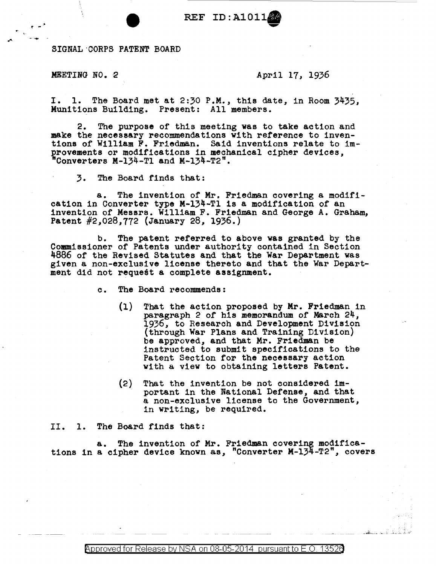REF ID:A1011 **9** 

SIGNAL·CORPS PATENT BOARD

-.,. -

## MEETING NO. 2  $\mu$  april 17, 1936

I. 1. The Board met at 2:30 P.M., this date, in Room 3435, Munitions Building. Present: All members.

2. The purpose of this meeting was to take action and make the necessary recommendations with reference to inventions of William F. Friedman. Said inventions relate to improvements or modifications in mechanical cipher devices, Converters M-134-Tl and M-134-T2".

3. The Board finds that:

a. The invention of Mr, Friedman covering a modification in Converter type M-134-Tl is a modification of an invention of Messrs. William F. Friedman and George A. Graham, Patent #2,028,772 (January 28, 1936.)

b. The patent referred to above was granted by the Commissioner of Patents under authority contained in Section 4886 of the Revised Statutes and that the War Department was given a non-exclusive license thereto and that the War Department did not request a complete assignment.

c. The Board recommends:

- (1) That the action proposed by Mr. Friedman in paragraph 2 of his memorandum of March 24, 1936, to Research and Development Division (through War Plans and Training Division) be approved, and that Mr. Friedman be instructed to submit specifications to the Patent Section for the necessary action with a view to obtaining letters Patent.
- (2) That the invention be not considered important in the National Defense, and that a non-exclusive license to the Government, 1n writing, be required.

II. 1. The Board finds that:

a. The invention of Mr. Friedman covering modifications 1n a cipher device known as, "Converter M-134-T2", covers